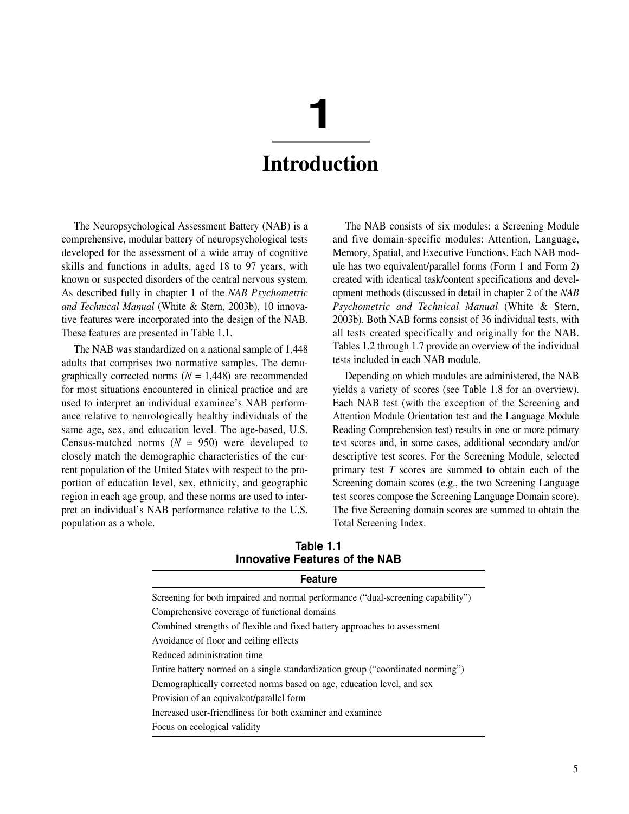# **1**

# *Introduction*

*The Neuropsychological Assessment Battery (NAB) is a comprehensive, modular battery of neuropsychological tests developed for the assessment of a wide array of cognitive skills and functions in adults, aged 18 to 97 years, with known or suspected disorders of the central nervous system. As described fully in chapter 1 of the NAB Psychometric and Technical Manual (White & Stern, 2003b), 10 innovative features were incorporated into the design of the NAB. These features are presented in Table 1.1.* 

*The NAB was standardized on a national sample of 1,448 adults that comprises two normative samples. The demo*graphically corrected norms  $(N = 1,448)$  are recommended *for most situations encountered in clinical practice and are used to interpret an individual examinee's NAB performance relative to neurologically healthy individuals of the same age, sex, and education level. The age-based, U.S. Census-matched norms (N = 950) were developed to closely match the demographic characteristics of the current population of the United States with respect to the proportion of education level, sex, ethnicity, and geographic region in each age group, and these norms are used to interpret an individual's NAB performance relative to the U.S. population as a whole.*

*The NAB consists of six modules: a Screening Module and five domain-specific modules: Attention, Language, Memory, Spatial, and Executive Functions. Each NAB module has two equivalent/parallel forms (Form 1 and Form 2) created with identical task/content specifications and development methods (discussed in detail in chapter 2 of the NAB Psychometric and Technical Manual (White & Stern, 2003b). Both NAB forms consist of 36 individual tests, with all tests created specifically and originally for the NAB. Tables 1.2 through 1.7 provide an overview of the individual tests included in each NAB module.* 

*Depending on which modules are administered, the NAB yields a variety of scores (see Table 1.8 for an overview). Each NAB test (with the exception of the Screening and Attention Module Orientation test and the Language Module Reading Comprehension test) results in one or more primary test scores and, in some cases, additional secondary and/or descriptive test scores. For the Screening Module, selected primary test T scores are summed to obtain each of the Screening domain scores (e.g., the two Screening Language test scores compose the Screening Language Domain score). The five Screening domain scores are summed to obtain the Total Screening Index.* 

| Table 1.1 |                                       |
|-----------|---------------------------------------|
|           | <b>Innovative Features of the NAB</b> |

| <b>Feature</b>                                                                   |
|----------------------------------------------------------------------------------|
| Screening for both impaired and normal performance ("dual-screening capability") |
| Comprehensive coverage of functional domains                                     |
| Combined strengths of flexible and fixed battery approaches to assessment        |
| Avoidance of floor and ceiling effects                                           |
| Reduced administration time                                                      |
| Entire battery normed on a single standardization group ("coordinated norming")  |
| Demographically corrected norms based on age, education level, and sex           |
| Provision of an equivalent/parallel form                                         |
| Increased user-friendliness for both examiner and examinee                       |
| Focus on ecological validity                                                     |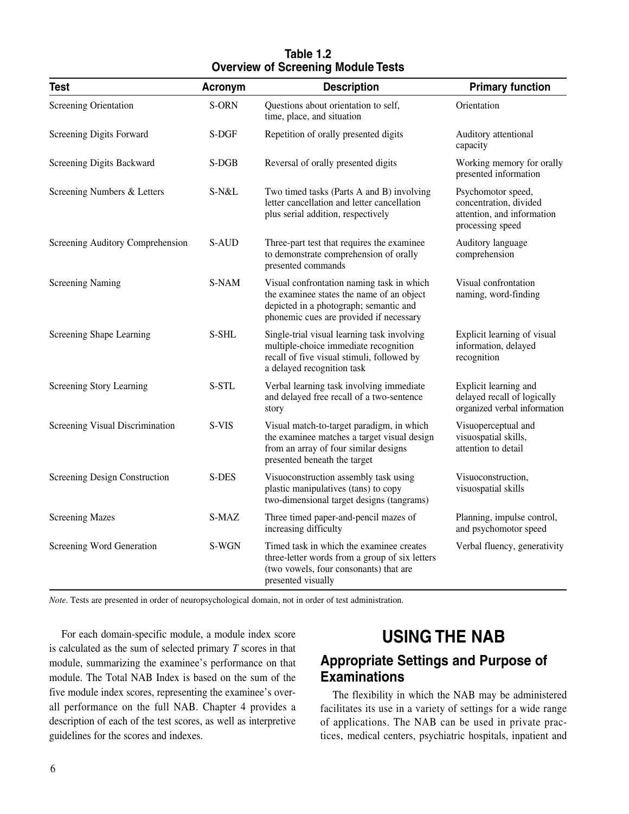| Table 1.2                                 |
|-------------------------------------------|
| <b>Overview of Screening Module Tests</b> |

| <b>Test</b>                      | Acronym | <b>Description</b>                                                                                                                                                          | <b>Primary function</b>                                                                        |
|----------------------------------|---------|-----------------------------------------------------------------------------------------------------------------------------------------------------------------------------|------------------------------------------------------------------------------------------------|
| Screening Orientation            | S-ORN   | Questions about orientation to self,<br>time, place, and situation                                                                                                          | Orientation                                                                                    |
| <b>Screening Digits Forward</b>  | S-DGF   | Repetition of orally presented digits                                                                                                                                       | Auditory attentional<br>capacity                                                               |
| Screening Digits Backward        | S-DGB   | Reversal of orally presented digits                                                                                                                                         | Working memory for orally<br>presented information                                             |
| Screening Numbers & Letters      | S-N&L   | Two timed tasks (Parts A and B) involving<br>letter cancellation and letter cancellation<br>plus serial addition, respectively                                              | Psychomotor speed,<br>concentration, divided<br>attention, and information<br>processing speed |
| Screening Auditory Comprehension | S-AUD   | Three-part test that requires the examinee<br>to demonstrate comprehension of orally<br>presented commands                                                                  | Auditory language<br>comprehension                                                             |
| <b>Screening Naming</b>          | S-NAM   | Visual confrontation naming task in which<br>the examinee states the name of an object<br>depicted in a photograph; semantic and<br>phonemic cues are provided if necessary | Visual confrontation<br>naming, word-finding                                                   |
| Screening Shape Learning         | S-SHL   | Single-trial visual learning task involving<br>multiple-choice immediate recognition<br>recall of five visual stimuli, followed by<br>a delayed recognition task            | Explicit learning of visual<br>information, delayed<br>recognition                             |
| Screening Story Learning         | S-STL   | Verbal learning task involving immediate<br>and delayed free recall of a two-sentence<br>story                                                                              | Explicit learning and<br>delayed recall of logically<br>organized verbal information           |
| Screening Visual Discrimination  | S-VIS   | Visual match-to-target paradigm, in which<br>the examinee matches a target visual design<br>from an array of four similar designs<br>presented beneath the target           | Visuoperceptual and<br>visuospatial skills,<br>attention to detail                             |
| Screening Design Construction    | S-DES   | Visuoconstruction assembly task using<br>plastic manipulatives (tans) to copy<br>two-dimensional target designs (tangrams)                                                  | Visuoconstruction,<br>visuospatial skills                                                      |
| <b>Screening Mazes</b>           | S-MAZ   | Three timed paper-and-pencil mazes of<br>increasing difficulty                                                                                                              | Planning, impulse control,<br>and psychomotor speed                                            |
| Screening Word Generation        | S-WGN   | Timed task in which the examinee creates<br>three-letter words from a group of six letters<br>(two vowels, four consonants) that are<br>presented visually                  | Verbal fluency, generativity                                                                   |

*Note. Tests are presented in order of neuropsychological domain, not in order of test administration.*

*For each domain-specific module, a module index score is calculated as the sum of selected primary T scores in that module, summarizing the examinee's performance on that module. The Total NAB Index is based on the sum of the five module index scores, representing the examinee's overall performance on the full NAB. Chapter 4 provides a description of each of the test scores, as well as interpretive guidelines for the scores and indexes.* 

# **USING THE NAB**

## **Appropriate Settings and Purpose of Examinations**

*The flexibility in which the NAB may be administered facilitates its use in a variety of settings for a wide range of applications. The NAB can be used in private practices, medical centers, psychiatric hospitals, inpatient and*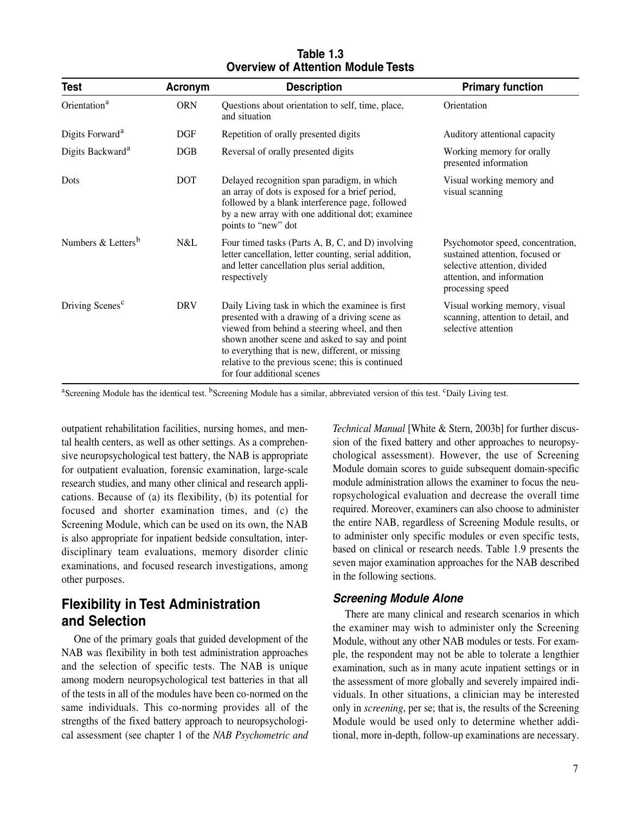| <b>Test</b>                    | Acronym    | <b>Description</b>                                                                                                                                                                                                                                                                                                                           | <b>Primary function</b>                                                                                                                                |
|--------------------------------|------------|----------------------------------------------------------------------------------------------------------------------------------------------------------------------------------------------------------------------------------------------------------------------------------------------------------------------------------------------|--------------------------------------------------------------------------------------------------------------------------------------------------------|
| Orientation <sup>a</sup>       | <b>ORN</b> | Questions about orientation to self, time, place,<br>and situation                                                                                                                                                                                                                                                                           | Orientation                                                                                                                                            |
| Digits Forward <sup>a</sup>    | <b>DGF</b> | Repetition of orally presented digits                                                                                                                                                                                                                                                                                                        | Auditory attentional capacity                                                                                                                          |
| Digits Backward <sup>a</sup>   | <b>DGB</b> | Reversal of orally presented digits                                                                                                                                                                                                                                                                                                          | Working memory for orally<br>presented information                                                                                                     |
| Dots                           | <b>DOT</b> | Delayed recognition span paradigm, in which<br>an array of dots is exposed for a brief period,<br>followed by a blank interference page, followed<br>by a new array with one additional dot; examinee<br>points to "new" dot                                                                                                                 | Visual working memory and<br>visual scanning                                                                                                           |
| Numbers & Letters <sup>b</sup> | N&L        | Four timed tasks (Parts A, B, C, and D) involving<br>letter cancellation, letter counting, serial addition,<br>and letter cancellation plus serial addition,<br>respectively                                                                                                                                                                 | Psychomotor speed, concentration,<br>sustained attention, focused or<br>selective attention, divided<br>attention, and information<br>processing speed |
| Driving Scenes <sup>c</sup>    | <b>DRV</b> | Daily Living task in which the examinee is first<br>presented with a drawing of a driving scene as<br>viewed from behind a steering wheel, and then<br>shown another scene and asked to say and point<br>to everything that is new, different, or missing<br>relative to the previous scene; this is continued<br>for four additional scenes | Visual working memory, visual<br>scanning, attention to detail, and<br>selective attention                                                             |

#### **Table 1.3 Overview of Attention Module Tests**

*a Screening Module has the identical test. bScreening Module has a similar, abbreviated version of this test. c Daily Living test.*

*outpatient rehabilitation facilities, nursing homes, and mental health centers, as well as other settings. As a comprehensive neuropsychological test battery, the NAB is appropriate for outpatient evaluation, forensic examination, large-scale research studies, and many other clinical and research applications. Because of (a) its flexibility, (b) its potential for focused and shorter examination times, and (c) the Screening Module, which can be used on its own, the NAB is also appropriate for inpatient bedside consultation, interdisciplinary team evaluations, memory disorder clinic examinations, and focused research investigations, among other purposes.*

### **Flexibility in Test Administration and Selection**

*One of the primary goals that guided development of the NAB was flexibility in both test administration approaches and the selection of specific tests. The NAB is unique among modern neuropsychological test batteries in that all of the tests in all of the modules have been co-normed on the same individuals. This co-norming provides all of the strengths of the fixed battery approach to neuropsychological assessment (see chapter 1 of the NAB Psychometric and* *Technical Manual [White & Stern, 2003b] for further discussion of the fixed battery and other approaches to neuropsychological assessment). However, the use of Screening Module domain scores to guide subsequent domain-specific module administration allows the examiner to focus the neuropsychological evaluation and decrease the overall time required. Moreover, examiners can also choose to administer the entire NAB, regardless of Screening Module results, or to administer only specific modules or even specific tests, based on clinical or research needs. Table 1.9 presents the seven major examination approaches for the NAB described in the following sections.*

#### **Screening Module Alone**

*There are many clinical and research scenarios in which the examiner may wish to administer only the Screening Module, without any other NAB modules or tests. For example, the respondent may not be able to tolerate a lengthier examination, such as in many acute inpatient settings or in the assessment of more globally and severely impaired individuals. In other situations, a clinician may be interested only in screening, per se; that is, the results of the Screening Module would be used only to determine whether additional, more in-depth, follow-up examinations are necessary.*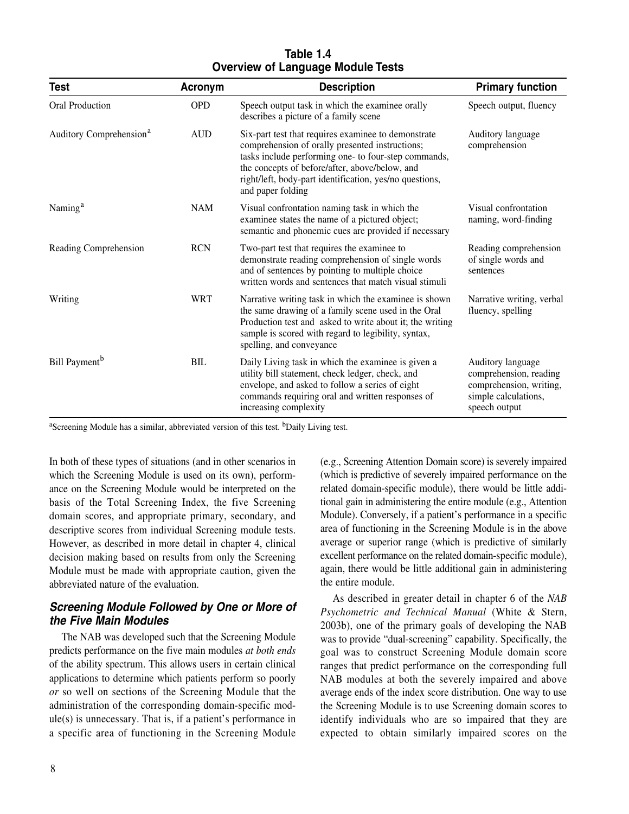| Table 1.4                                |
|------------------------------------------|
| <b>Overview of Language Module Tests</b> |

| <b>Test</b>                         | Acronym    | <b>Description</b>                                                                                                                                                                                                                                                                               | <b>Primary function</b>                                                                                         |
|-------------------------------------|------------|--------------------------------------------------------------------------------------------------------------------------------------------------------------------------------------------------------------------------------------------------------------------------------------------------|-----------------------------------------------------------------------------------------------------------------|
| Oral Production                     | <b>OPD</b> | Speech output task in which the examinee orally<br>describes a picture of a family scene                                                                                                                                                                                                         | Speech output, fluency                                                                                          |
| Auditory Comprehension <sup>a</sup> | <b>AUD</b> | Six-part test that requires examinee to demonstrate<br>comprehension of orally presented instructions;<br>tasks include performing one- to four-step commands,<br>the concepts of before/after, above/below, and<br>right/left, body-part identification, yes/no questions,<br>and paper folding | Auditory language<br>comprehension                                                                              |
| Naming <sup>a</sup>                 | <b>NAM</b> | Visual confrontation naming task in which the<br>examinee states the name of a pictured object;<br>semantic and phonemic cues are provided if necessary                                                                                                                                          | Visual confrontation<br>naming, word-finding                                                                    |
| Reading Comprehension               | <b>RCN</b> | Two-part test that requires the examinee to<br>demonstrate reading comprehension of single words<br>and of sentences by pointing to multiple choice<br>written words and sentences that match visual stimuli                                                                                     | Reading comprehension<br>of single words and<br>sentences                                                       |
| Writing                             | <b>WRT</b> | Narrative writing task in which the examinee is shown<br>the same drawing of a family scene used in the Oral<br>Production test and asked to write about it; the writing<br>sample is scored with regard to legibility, syntax,<br>spelling, and conveyance                                      | Narrative writing, verbal<br>fluency, spelling                                                                  |
| Bill Payment <sup>b</sup>           | <b>BIL</b> | Daily Living task in which the examinee is given a<br>utility bill statement, check ledger, check, and<br>envelope, and asked to follow a series of eight<br>commands requiring oral and written responses of<br>increasing complexity                                                           | Auditory language<br>comprehension, reading<br>comprehension, writing,<br>simple calculations,<br>speech output |

<sup>a</sup>Screening Module has a similar, abbreviated version of this test. <sup>b</sup>Daily Living test.

*In both of these types of situations (and in other scenarios in which the Screening Module is used on its own), performance on the Screening Module would be interpreted on the basis of the Total Screening Index, the five Screening domain scores, and appropriate primary, secondary, and descriptive scores from individual Screening module tests. However, as described in more detail in chapter 4, clinical decision making based on results from only the Screening Module must be made with appropriate caution, given the abbreviated nature of the evaluation.*

#### **Screening Module Followed by One or More of the Five Main Modules**

*The NAB was developed such that the Screening Module predicts performance on the five main modules at both ends of the ability spectrum. This allows users in certain clinical applications to determine which patients perform so poorly or so well on sections of the Screening Module that the administration of the corresponding domain-specific module(s) is unnecessary. That is, if a patient's performance in a specific area of functioning in the Screening Module*

*(e.g., Screening Attention Domain score) is severely impaired (which is predictive of severely impaired performance on the related domain-specific module), there would be little additional gain in administering the entire module (e.g., Attention Module). Conversely, if a patient's performance in a specific area of functioning in the Screening Module is in the above average or superior range (which is predictive of similarly excellent performance on the related domain-specific module), again, there would be little additional gain in administering the entire module.* 

*As described in greater detail in chapter 6 of the NAB Psychometric and Technical Manual (White & Stern, 2003b), one of the primary goals of developing the NAB was to provide "dual-screening" capability. Specifically, the goal was to construct Screening Module domain score ranges that predict performance on the corresponding full NAB modules at both the severely impaired and above average ends of the index score distribution. One way to use the Screening Module is to use Screening domain scores to identify individuals who are so impaired that they are expected to obtain similarly impaired scores on the*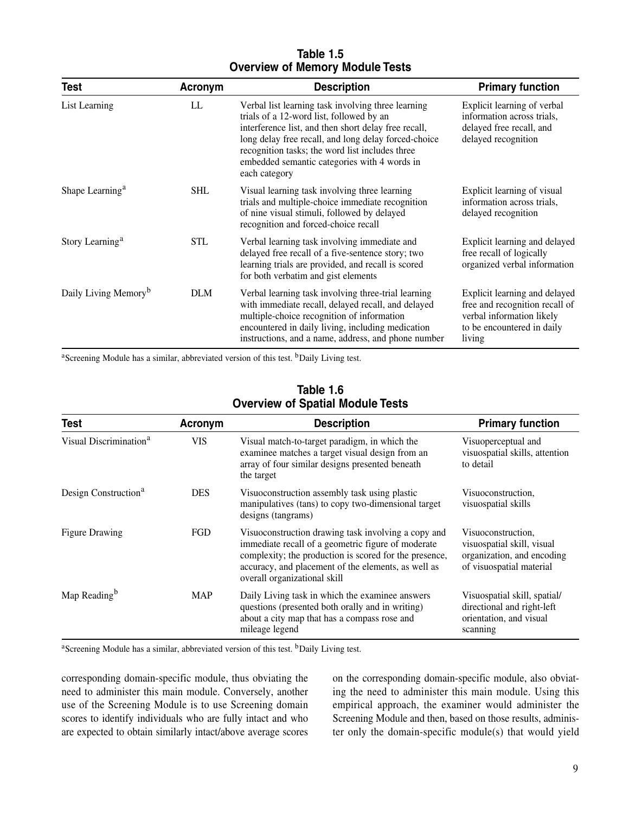| Test                             | Acronym    | <b>Description</b>                                                                                                                                                                                                                                                                                                                 | <b>Primary function</b>                                                                                                              |
|----------------------------------|------------|------------------------------------------------------------------------------------------------------------------------------------------------------------------------------------------------------------------------------------------------------------------------------------------------------------------------------------|--------------------------------------------------------------------------------------------------------------------------------------|
| List Learning                    | LL         | Verbal list learning task involving three learning<br>trials of a 12-word list, followed by an<br>interference list, and then short delay free recall,<br>long delay free recall, and long delay forced-choice<br>recognition tasks; the word list includes three<br>embedded semantic categories with 4 words in<br>each category | Explicit learning of verbal<br>information across trials,<br>delayed free recall, and<br>delayed recognition                         |
| Shape Learning <sup>a</sup>      | <b>SHL</b> | Visual learning task involving three learning<br>trials and multiple-choice immediate recognition<br>of nine visual stimuli, followed by delayed<br>recognition and forced-choice recall                                                                                                                                           | Explicit learning of visual<br>information across trials,<br>delayed recognition                                                     |
| Story Learning <sup>a</sup>      | <b>STL</b> | Verbal learning task involving immediate and<br>delayed free recall of a five-sentence story; two<br>learning trials are provided, and recall is scored<br>for both verbatim and gist elements                                                                                                                                     | Explicit learning and delayed<br>free recall of logically<br>organized verbal information                                            |
| Daily Living Memory <sup>b</sup> | <b>DLM</b> | Verbal learning task involving three-trial learning<br>with immediate recall, delayed recall, and delayed<br>multiple-choice recognition of information<br>encountered in daily living, including medication<br>instructions, and a name, address, and phone number                                                                | Explicit learning and delayed<br>free and recognition recall of<br>verbal information likely<br>to be encountered in daily<br>living |

#### **Table 1.5 Overview of Memory Module Tests**

*a Screening Module has a similar, abbreviated version of this test. bDaily Living test.* 

**Table 1.6 Overview of Spatial Module Tests**

| <b>Test</b>                        | Acronym    | <b>Description</b>                                                                                                                                                                                                                                         | <b>Primary function</b>                                                                                    |
|------------------------------------|------------|------------------------------------------------------------------------------------------------------------------------------------------------------------------------------------------------------------------------------------------------------------|------------------------------------------------------------------------------------------------------------|
| Visual Discrimination <sup>a</sup> | <b>VIS</b> | Visual match-to-target paradigm, in which the<br>examinee matches a target visual design from an<br>array of four similar designs presented beneath<br>the target                                                                                          | Visuoperceptual and<br>visuospatial skills, attention<br>to detail                                         |
| Design Construction <sup>a</sup>   | <b>DES</b> | Visuoconstruction assembly task using plastic<br>manipulatives (tans) to copy two-dimensional target<br>designs (tangrams)                                                                                                                                 | Visuoconstruction,<br>visuospatial skills                                                                  |
| <b>Figure Drawing</b>              | <b>FGD</b> | Visuoconstruction drawing task involving a copy and<br>immediate recall of a geometric figure of moderate<br>complexity; the production is scored for the presence,<br>accuracy, and placement of the elements, as well as<br>overall organizational skill | Visuoconstruction,<br>visuospatial skill, visual<br>organization, and encoding<br>of visuospatial material |
| Map Reading <sup>b</sup>           | <b>MAP</b> | Daily Living task in which the examinee answers<br>questions (presented both orally and in writing)<br>about a city map that has a compass rose and<br>mileage legend                                                                                      | Visuospatial skill, spatial/<br>directional and right-left<br>orientation, and visual<br>scanning          |

<sup>a</sup>Screening Module has a similar, abbreviated version of this test. <sup>b</sup>Daily Living test.

*corresponding domain-specific module, thus obviating the need to administer this main module. Conversely, another use of the Screening Module is to use Screening domain scores to identify individuals who are fully intact and who are expected to obtain similarly intact/above average scores* *on the corresponding domain-specific module, also obviating the need to administer this main module. Using this empirical approach, the examiner would administer the Screening Module and then, based on those results, administer only the domain-specific module(s) that would yield*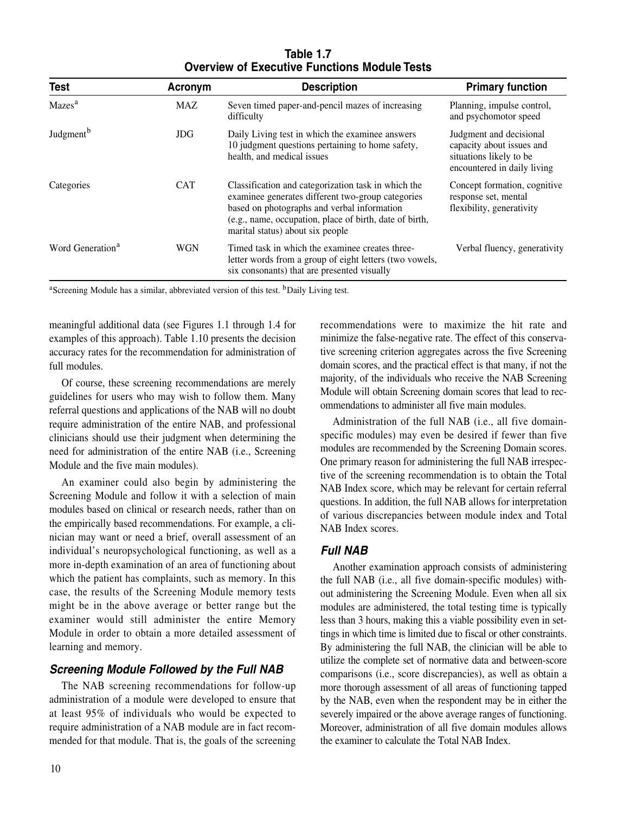**Table 1.7 Overview of Executive Functions Module Tests**

| <b>Test</b>                  | Acronym    | <b>Description</b>                                                                                                                                                                                                                                     | <b>Primary function</b>                                                                                        |
|------------------------------|------------|--------------------------------------------------------------------------------------------------------------------------------------------------------------------------------------------------------------------------------------------------------|----------------------------------------------------------------------------------------------------------------|
| Mazes <sup>a</sup>           | <b>MAZ</b> | Seven timed paper-and-pencil mazes of increasing<br>difficulty                                                                                                                                                                                         | Planning, impulse control,<br>and psychomotor speed                                                            |
| Judgment <sup>b</sup>        | <b>JDG</b> | Daily Living test in which the examinee answers<br>10 judgment questions pertaining to home safety,<br>health, and medical issues                                                                                                                      | Judgment and decisional<br>capacity about issues and<br>situations likely to be<br>encountered in daily living |
| Categories                   | <b>CAT</b> | Classification and categorization task in which the<br>examinee generates different two-group categories<br>based on photographs and verbal information<br>(e.g., name, occupation, place of birth, date of birth,<br>marital status) about six people | Concept formation, cognitive<br>response set, mental<br>flexibility, generativity                              |
| Word Generation <sup>a</sup> | <b>WGN</b> | Timed task in which the examinee creates three-<br>letter words from a group of eight letters (two vowels,<br>six consonants) that are presented visually                                                                                              | Verbal fluency, generativity                                                                                   |

<sup>a</sup> Screening Module has a similar, abbreviated version of this test. <sup>b</sup>Daily Living test.

*meaningful additional data (see Figures 1.1 through 1.4 for examples of this approach). Table 1.10 presents the decision accuracy rates for the recommendation for administration of full modules.* 

*Of course, these screening recommendations are merely guidelines for users who may wish to follow them. Many referral questions and applications of the NAB will no doubt require administration of the entire NAB, and professional clinicians should use their judgment when determining the need for administration of the entire NAB (i.e., Screening Module and the five main modules).* 

*An examiner could also begin by administering the Screening Module and follow it with a selection of main modules based on clinical or research needs, rather than on the empirically based recommendations. For example, a clinician may want or need a brief, overall assessment of an individual's neuropsychological functioning, as well as a more in-depth examination of an area of functioning about which the patient has complaints, such as memory. In this case, the results of the Screening Module memory tests might be in the above average or better range but the examiner would still administer the entire Memory Module in order to obtain a more detailed assessment of learning and memory.*

#### **Screening Module Followed by the Full NAB**

*The NAB screening recommendations for follow-up administration of a module were developed to ensure that at least 95% of individuals who would be expected to require administration of a NAB module are in fact recommended for that module. That is, the goals of the screening* *recommendations were to maximize the hit rate and minimize the false-negative rate. The effect of this conservative screening criterion aggregates across the five Screening domain scores, and the practical effect is that many, if not the majority, of the individuals who receive the NAB Screening Module will obtain Screening domain scores that lead to recommendations to administer all five main modules.* 

*Administration of the full NAB (i.e., all five domainspecific modules) may even be desired if fewer than five modules are recommended by the Screening Domain scores. One primary reason for administering the full NAB irrespective of the screening recommendation is to obtain the Total NAB Index score, which may be relevant for certain referral questions. In addition, the full NAB allows for interpretation of various discrepancies between module index and Total NAB Index scores.* 

#### **Full NAB**

*Another examination approach consists of administering the full NAB (i.e., all five domain-specific modules) without administering the Screening Module. Even when all six modules are administered, the total testing time is typically less than 3 hours, making this a viable possibility even in settings in which time is limited due to fiscal or other constraints. By administering the full NAB, the clinician will be able to utilize the complete set of normative data and between-score comparisons (i.e., score discrepancies), as well as obtain a more thorough assessment of all areas of functioning tapped by the NAB, even when the respondent may be in either the severely impaired or the above average ranges of functioning. Moreover, administration of all five domain modules allows the examiner to calculate the Total NAB Index.*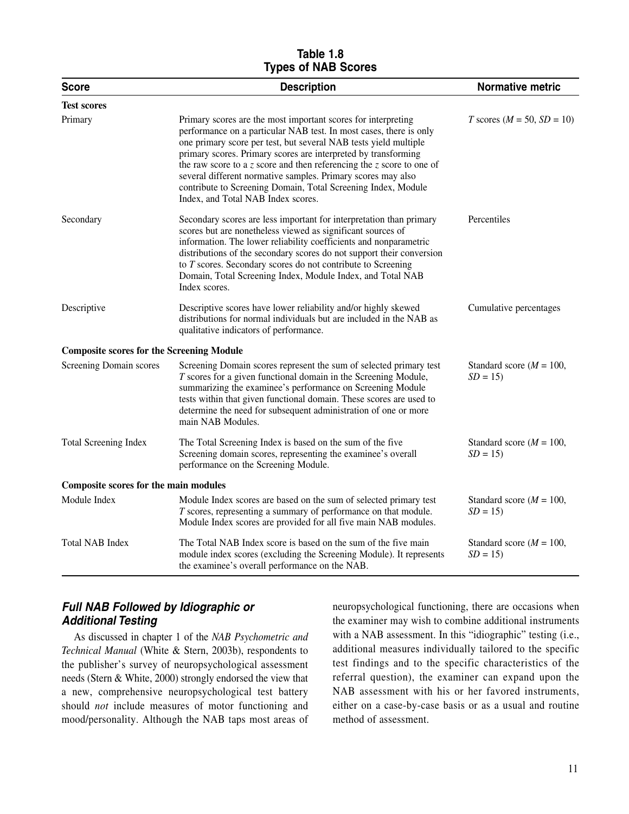#### **Table 1.8 Types of NAB Scores**

| <b>Score</b>                                     | <b>Description</b>                                                                                                                                                                                                                                                                                                                                                                                                                                                                                                            | <b>Normative metric</b>                   |
|--------------------------------------------------|-------------------------------------------------------------------------------------------------------------------------------------------------------------------------------------------------------------------------------------------------------------------------------------------------------------------------------------------------------------------------------------------------------------------------------------------------------------------------------------------------------------------------------|-------------------------------------------|
| <b>Test scores</b>                               |                                                                                                                                                                                                                                                                                                                                                                                                                                                                                                                               |                                           |
| Primary                                          | Primary scores are the most important scores for interpreting<br>performance on a particular NAB test. In most cases, there is only<br>one primary score per test, but several NAB tests yield multiple<br>primary scores. Primary scores are interpreted by transforming<br>the raw score to a $z$ score and then referencing the $z$ score to one of<br>several different normative samples. Primary scores may also<br>contribute to Screening Domain, Total Screening Index, Module<br>Index, and Total NAB Index scores. | T scores $(M = 50, SD = 10)$              |
| Secondary                                        | Secondary scores are less important for interpretation than primary<br>scores but are nonetheless viewed as significant sources of<br>information. The lower reliability coefficients and nonparametric<br>distributions of the secondary scores do not support their conversion<br>to $T$ scores. Secondary scores do not contribute to Screening<br>Domain, Total Screening Index, Module Index, and Total NAB<br>Index scores.                                                                                             | Percentiles                               |
| Descriptive                                      | Descriptive scores have lower reliability and/or highly skewed<br>distributions for normal individuals but are included in the NAB as<br>qualitative indicators of performance.                                                                                                                                                                                                                                                                                                                                               | Cumulative percentages                    |
| <b>Composite scores for the Screening Module</b> |                                                                                                                                                                                                                                                                                                                                                                                                                                                                                                                               |                                           |
| Screening Domain scores                          | Screening Domain scores represent the sum of selected primary test<br>T scores for a given functional domain in the Screening Module,<br>summarizing the examinee's performance on Screening Module<br>tests within that given functional domain. These scores are used to<br>determine the need for subsequent administration of one or more<br>main NAB Modules.                                                                                                                                                            | Standard score ( $M = 100$ ,<br>$SD = 15$ |
| Total Screening Index                            | The Total Screening Index is based on the sum of the five<br>Screening domain scores, representing the examinee's overall<br>performance on the Screening Module.                                                                                                                                                                                                                                                                                                                                                             | Standard score ( $M = 100$ ,<br>$SD = 15$ |
| Composite scores for the main modules            |                                                                                                                                                                                                                                                                                                                                                                                                                                                                                                                               |                                           |
| Module Index                                     | Module Index scores are based on the sum of selected primary test<br>T scores, representing a summary of performance on that module.<br>Module Index scores are provided for all five main NAB modules.                                                                                                                                                                                                                                                                                                                       | Standard score ( $M = 100$ ,<br>$SD = 15$ |
| <b>Total NAB Index</b>                           | The Total NAB Index score is based on the sum of the five main<br>module index scores (excluding the Screening Module). It represents<br>the examinee's overall performance on the NAB.                                                                                                                                                                                                                                                                                                                                       | Standard score ( $M = 100$ ,<br>$SD = 15$ |

#### **Full NAB Followed by Idiographic or Additional Testing**

*As discussed in chapter 1 of the NAB Psychometric and Technical Manual (White & Stern, 2003b), respondents to the publisher's survey of neuropsychological assessment needs (Stern & White, 2000) strongly endorsed the view that a new, comprehensive neuropsychological test battery should not include measures of motor functioning and mood/personality. Although the NAB taps most areas of*

*neuropsychological functioning, there are occasions when the examiner may wish to combine additional instruments with a NAB assessment. In this "idiographic" testing (i.e., additional measures individually tailored to the specific test findings and to the specific characteristics of the referral question), the examiner can expand upon the NAB assessment with his or her favored instruments, either on a case-by-case basis or as a usual and routine method of assessment.*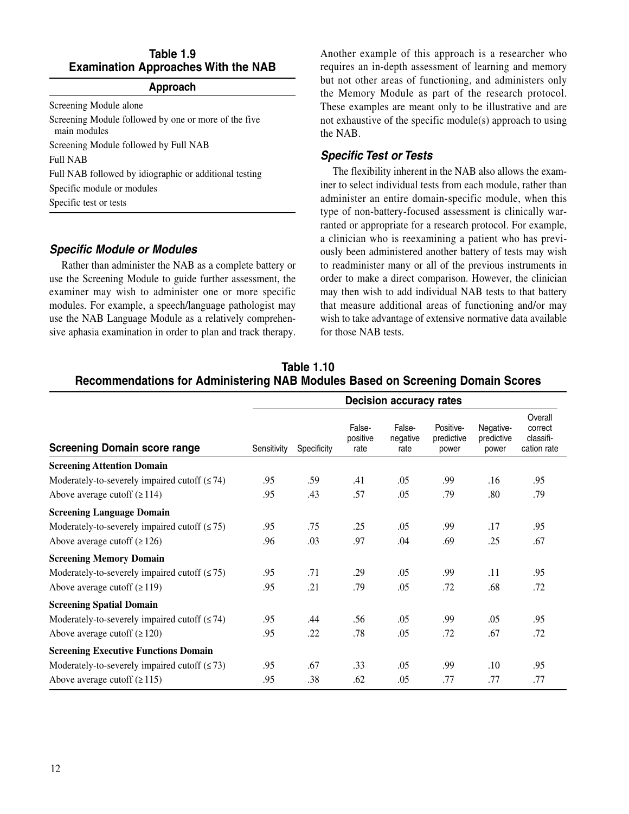#### **Table 1.9 Examination Approaches With the NAB**

#### **Approach**

*Screening Module alone*

*Screening Module followed by one or more of the five main modules Screening Module followed by Full NAB Full NAB*

*Full NAB followed by idiographic or additional testing*

*Specific module or modules*

*Specific test or tests*

#### **Specific Module or Modules**

*Rather than administer the NAB as a complete battery or use the Screening Module to guide further assessment, the examiner may wish to administer one or more specific modules. For example, a speech/language pathologist may use the NAB Language Module as a relatively comprehensive aphasia examination in order to plan and track therapy.* *Another example of this approach is a researcher who requires an in-depth assessment of learning and memory but not other areas of functioning, and administers only the Memory Module as part of the research protocol. These examples are meant only to be illustrative and are not exhaustive of the specific module(s) approach to using the NAB.*

#### **Specific Test or Tests**

*The flexibility inherent in the NAB also allows the examiner to select individual tests from each module, rather than administer an entire domain-specific module, when this type of non-battery-focused assessment is clinically warranted or appropriate for a research protocol. For example, a clinician who is reexamining a patient who has previously been administered another battery of tests may wish to readminister many or all of the previous instruments in order to make a direct comparison. However, the clinician may then wish to add individual NAB tests to that battery that measure additional areas of functioning and/or may wish to take advantage of extensive normative data available for those NAB tests.* 

| <b>Table 1.10</b>                                                              |  |
|--------------------------------------------------------------------------------|--|
| Recommendations for Administering NAB Modules Based on Screening Domain Scores |  |

|                                                | <b>Decision accuracy rates</b> |             |                            |                            |                                  |                                  |                                                |
|------------------------------------------------|--------------------------------|-------------|----------------------------|----------------------------|----------------------------------|----------------------------------|------------------------------------------------|
| <b>Screening Domain score range</b>            | Sensitivity                    | Specificity | False-<br>positive<br>rate | False-<br>negative<br>rate | Positive-<br>predictive<br>power | Negative-<br>predictive<br>power | Overall<br>correct<br>classifi-<br>cation rate |
| <b>Screening Attention Domain</b>              |                                |             |                            |                            |                                  |                                  |                                                |
| Moderately-to-severely impaired cutoff $(574)$ | .95                            | .59         | .41                        | .05                        | .99                              | .16                              | .95                                            |
| Above average cutoff $(2114)$                  | .95                            | .43         | .57                        | .05                        | .79                              | .80                              | .79                                            |
| <b>Screening Language Domain</b>               |                                |             |                            |                            |                                  |                                  |                                                |
| Moderately-to-severely impaired cutoff $(575)$ | .95                            | .75         | .25                        | .05                        | .99                              | .17                              | .95                                            |
| Above average cutoff $(2126)$                  | .96                            | .03         | .97                        | .04                        | .69                              | .25                              | .67                                            |
| <b>Screening Memory Domain</b>                 |                                |             |                            |                            |                                  |                                  |                                                |
| Moderately-to-severely impaired cutoff $(575)$ | .95                            | .71         | .29                        | .05                        | .99                              | .11                              | .95                                            |
| Above average cutoff $(2119)$                  | .95                            | .21         | .79                        | .05                        | .72                              | .68                              | .72                                            |
| <b>Screening Spatial Domain</b>                |                                |             |                            |                            |                                  |                                  |                                                |
| Moderately-to-severely impaired cutoff $(574)$ | .95                            | .44         | .56                        | .05                        | .99                              | .05                              | .95                                            |
| Above average cutoff $(2120)$                  | .95                            | .22         | .78                        | .05                        | .72                              | .67                              | .72                                            |
| <b>Screening Executive Functions Domain</b>    |                                |             |                            |                            |                                  |                                  |                                                |
| Moderately-to-severely impaired cutoff $(573)$ | .95                            | .67         | .33                        | .05                        | .99                              | .10                              | .95                                            |
| Above average cutoff $(2115)$                  | .95                            | .38         | .62                        | .05                        | .77                              | .77                              | .77                                            |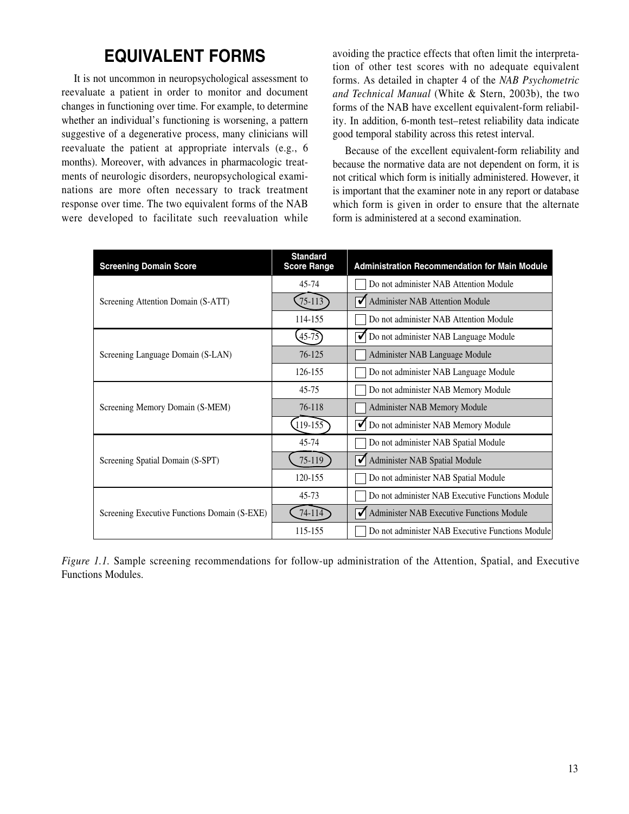## **EQUIVALENT FORMS**

*It is not uncommon in neuropsychological assessment to reevaluate a patient in order to monitor and document changes in functioning over time. For example, to determine whether an individual's functioning is worsening, a pattern suggestive of a degenerative process, many clinicians will reevaluate the patient at appropriate intervals (e.g., 6 months). Moreover, with advances in pharmacologic treatments of neurologic disorders, neuropsychological examinations are more often necessary to track treatment response over time. The two equivalent forms of the NAB were developed to facilitate such reevaluation while* *avoiding the practice effects that often limit the interpretation of other test scores with no adequate equivalent forms. As detailed in chapter 4 of the NAB Psychometric and Technical Manual (White & Stern, 2003b), the two forms of the NAB have excellent equivalent-form reliability. In addition, 6-month test–retest reliability data indicate good temporal stability across this retest interval.* 

*Because of the excellent equivalent-form reliability and because the normative data are not dependent on form, it is not critical which form is initially administered. However, it is important that the examiner note in any report or database which form is given in order to ensure that the alternate form is administered at a second examination.* 

| <b>Screening Domain Score</b>                | <b>Standard</b><br><b>Score Range</b> | <b>Administration Recommendation for Main Module</b>    |
|----------------------------------------------|---------------------------------------|---------------------------------------------------------|
| Screening Attention Domain (S-ATT)           | $45 - 74$                             | Do not administer NAB Attention Module                  |
|                                              | $75 - 113$                            | $\blacktriangledown$<br>Administer NAB Attention Module |
|                                              | 114-155                               | Do not administer NAB Attention Module                  |
| Screening Language Domain (S-LAN)            | $(45-75)$                             | Do not administer NAB Language Module<br>✔              |
|                                              | 76-125                                | Administer NAB Language Module                          |
|                                              | 126-155                               | Do not administer NAB Language Module                   |
| Screening Memory Domain (S-MEM)              | 45-75                                 | Do not administer NAB Memory Module                     |
|                                              | 76-118                                | Administer NAB Memory Module                            |
|                                              | $119 - 155$                           | ✓<br>Do not administer NAB Memory Module                |
| Screening Spatial Domain (S-SPT)             | 45-74                                 | Do not administer NAB Spatial Module                    |
|                                              | 75-119                                | Administer NAB Spatial Module<br>✔                      |
|                                              | 120-155                               | Do not administer NAB Spatial Module                    |
| Screening Executive Functions Domain (S-EXE) | 45-73                                 | Do not administer NAB Executive Functions Module        |
|                                              | $74 - 114$                            | √<br>Administer NAB Executive Functions Module          |
|                                              | 115-155                               | Do not administer NAB Executive Functions Module        |

*Figure 1.1. Sample screening recommendations for follow-up administration of the Attention, Spatial, and Executive Functions Modules.*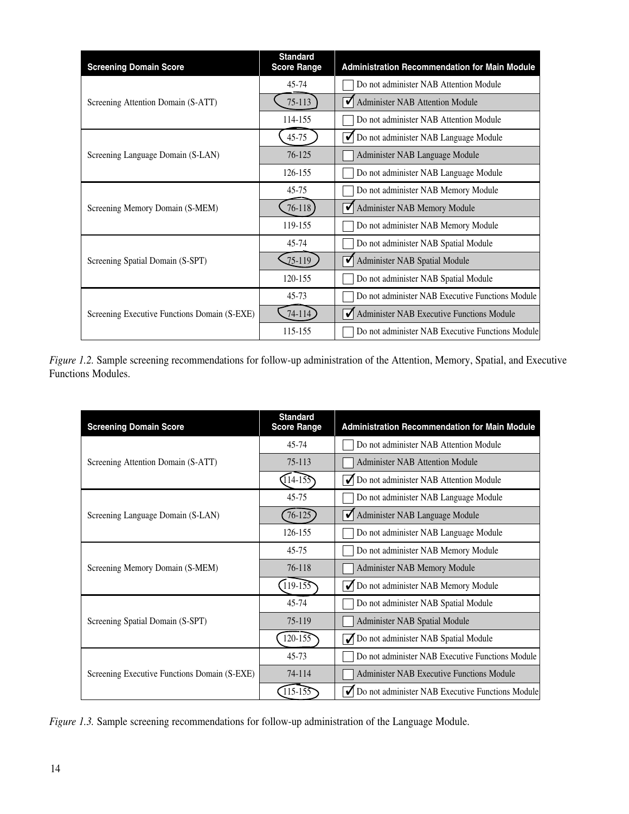| <b>Screening Domain Score</b>                | <b>Standard</b><br><b>Score Range</b> | <b>Administration Recommendation for Main Module</b> |
|----------------------------------------------|---------------------------------------|------------------------------------------------------|
| Screening Attention Domain (S-ATT)           | $45 - 74$                             | Do not administer NAB Attention Module               |
|                                              | 75-113                                | ✔<br><b>Administer NAB Attention Module</b>          |
|                                              | 114-155                               | Do not administer NAB Attention Module               |
| Screening Language Domain (S-LAN)            | $45 - 75$                             | Do not administer NAB Language Module<br>✔           |
|                                              | 76-125                                | Administer NAB Language Module                       |
|                                              | 126-155                               | Do not administer NAB Language Module                |
| Screening Memory Domain (S-MEM)              | $45 - 75$                             | Do not administer NAB Memory Module                  |
|                                              | $76 - 118$                            | ✔<br>Administer NAB Memory Module                    |
|                                              | 119-155                               | Do not administer NAB Memory Module                  |
| Screening Spatial Domain (S-SPT)             | 45-74                                 | Do not administer NAB Spatial Module                 |
|                                              | $75-119$                              | ✔<br>Administer NAB Spatial Module                   |
|                                              | 120-155                               | Do not administer NAB Spatial Module                 |
| Screening Executive Functions Domain (S-EXE) | $45 - 73$                             | Do not administer NAB Executive Functions Module     |
|                                              | $74 - 114$                            | Administer NAB Executive Functions Module<br>✓       |
|                                              | 115-155                               | Do not administer NAB Executive Functions Module     |

*Figure 1.2. Sample screening recommendations for follow-up administration of the Attention, Memory, Spatial, and Executive Functions Modules.* 

| <b>Screening Domain Score</b>                | <b>Standard</b><br><b>Score Range</b> | <b>Administration Recommendation for Main Module</b>             |
|----------------------------------------------|---------------------------------------|------------------------------------------------------------------|
| Screening Attention Domain (S-ATT)           | 45-74                                 | Do not administer NAB Attention Module                           |
|                                              | 75-113                                | <b>Administer NAB Attention Module</b>                           |
|                                              | $(114 - 155)$                         | Do not administer NAB Attention Module<br>✓                      |
| Screening Language Domain (S-LAN)            | $45 - 75$                             | Do not administer NAB Language Module                            |
|                                              | $76 - 125$                            | √<br>Administer NAB Language Module                              |
|                                              | 126-155                               | Do not administer NAB Language Module                            |
| Screening Memory Domain (S-MEM)              | $45 - 75$                             | Do not administer NAB Memory Module                              |
|                                              | 76-118                                | <b>Administer NAB Memory Module</b>                              |
|                                              | $119 - 155$                           | Do not administer NAB Memory Module<br>✓                         |
| Screening Spatial Domain (S-SPT)             | 45-74                                 | Do not administer NAB Spatial Module                             |
|                                              | 75-119                                | Administer NAB Spatial Module                                    |
|                                              | $120 - 155$                           | Do not administer NAB Spatial Module                             |
| Screening Executive Functions Domain (S-EXE) | 45-73                                 | Do not administer NAB Executive Functions Module                 |
|                                              | 74-114                                | <b>Administer NAB Executive Functions Module</b>                 |
|                                              | $115 - 155$                           | $\checkmark$<br>Do not administer NAB Executive Functions Module |

*Figure 1.3. Sample screening recommendations for follow-up administration of the Language Module.*